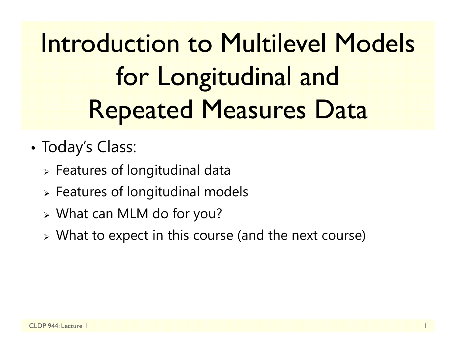Introduction to Multilevel Models for Longitudinal and Repeated Measures Data

- • Today's Class:
	- $\triangleright$  Features of longitudinal data
	- $\triangleright$  Features of longitudinal models
	- What can MLM do for you?
	- $\triangleright$  What to expect in this course (and the next course)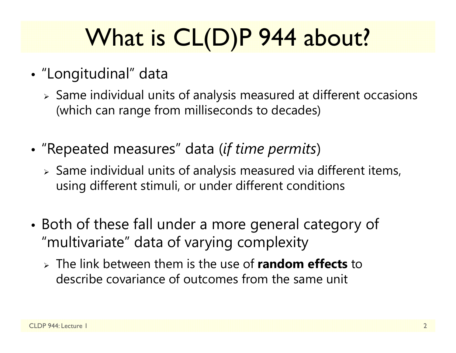# What is CL(D)P 944 about?

- • "Longitudinal" data
	- $\triangleright$  Same individual units of analysis measured at different occasions (which can range from milliseconds to decades)
- • "Repeated measures" data (*if time permits* )
	- $\triangleright$  Same individual units of analysis measured via different items, using different stimuli, or under different conditions
- • Both of these fall under a more general category of "multivariate" data of varying complexity
	- The link between them is the use of **random effects** to describe covariance of outcomes from the same unit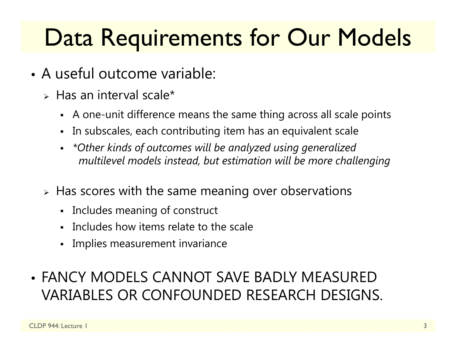## Data Requirements for Our Models

- A useful outcome variable:
	- $\triangleright$  Has an interval scale\*
		- A one-unit difference means the same thing across all scale points
		- Г In subscales, each contributing item has an equivalent scale
		- *\*Other kinds of outcomes will be analyzed using generalized multilevel models instead, but estimation will be more challenging*
	- $\triangleright$  Has scores with the same meaning over observations
		- Includes meaning of construct
		- Includes how items relate to the scale
		- Г Implies measurement invariance
- FANCY MODELS CANNOT SAVE BADLY MEASURED VARIABLES OR CONFOUNDED RESEARCH DESIGNS.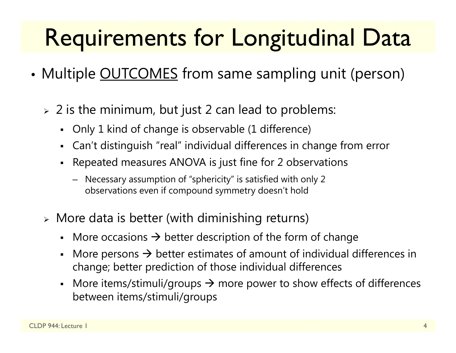# Requirements for Longitudinal Data

- •• Multiple <u>OUTCOMES</u> from same sampling unit (person)
	- $\triangleright$  2 is the minimum, but just 2 can lead to problems:
		- Only 1 kind of change is observable (1 difference)
		- Can't distinguish "real" individual differences in change from error
		- Г Repeated measures ANOVA is just fine for 2 observations
			- Necessary assumption of "sphericity" is satisfied with only 2 observations even if compound symmetry doesn't hold
	- More data is better (with diminishing returns)
		- More occasions  $\rightarrow$  better description of the form of change
		- Г • More persons  $\rightarrow$  better estimates of amount of individual differences in change; better prediction of those individual differences
		- More items/stimuli/groups  $\rightarrow$  more power to show effects of differences between items/stimuli/groups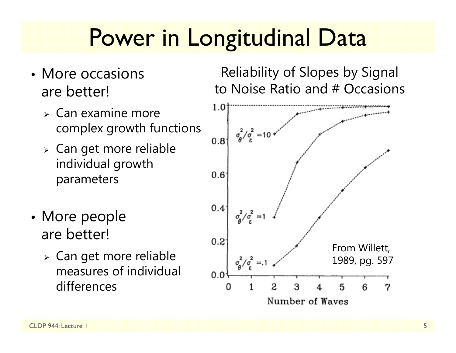### Power in Longitudinal Data

- More occasions are better!
	- $\triangleright$  Can examine more complex growth functions
	- Can get more reliable individual growth parameters
- •• More people are better!
	- Can get more reliable measures of individual differences

Reliability of Slopes by Signal to Noise Ratio and # Occasions

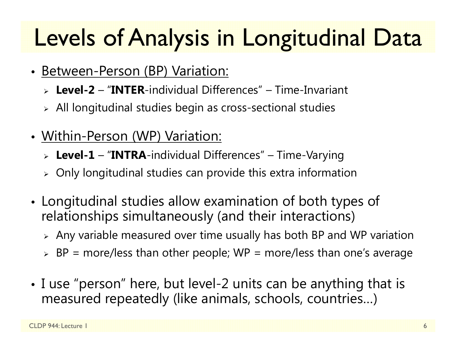# Levels of Analysis in Longitudinal Data

- Between-Person (BP) Variation:
	- **Level-2** "**INTER**-individual Differences" Time-Invariant
	- $\triangleright$  All longitudinal studies begin as cross-sectional studies
- Within-Person (WP) Variation:
	- **Level-1** "**INTRA**-individual Differences" Time-Varying
	- $\triangleright$  Only longitudinal studies can provide this extra information
- • Longitudinal studies allow examination of both types of relationships simultaneously (and their interactions)
	- $\triangleright$  Any variable measured over time usually has both BP and WP variation
	- $\triangleright$  BP = more/less than other people; WP = more/less than one's average
- I use "person" here, but level-2 units can be anything that is measured repeatedly (like animals, schools, countries…)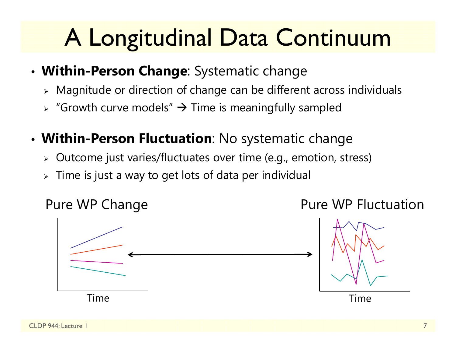# A Longitudinal Data Continuum

- **Within-Person Change**: Systematic change
	- $\triangleright$  Magnitude or direction of change can be different across individuals
	- $\triangleright$  "Growth curve models"  $\rightarrow$  Time is meaningfully sampled
- **Within-Person Fluctuation**: No systematic change
	- $\triangleright$   $\,$  Outcome just varies/fluctuates over time (e.g., emotion, stress)
	- $\triangleright\;$  Time is just a way to get lots of data per individual

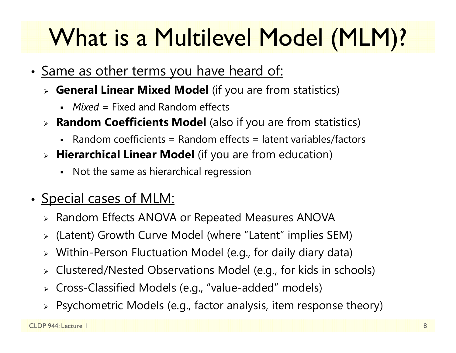# What is a Multilevel Model (MLM)?

- •• <u>Same as other terms you have heard of:</u>
	- **General Linear Mixed Model** (if you are from statistics)
		- *Mixed* = Fixed and Random effects
	- **Random Coefficients Model** (also if you are from statistics)
		- Random coefficients = Random effects = latent variables/factors
	- **Hierarchical Linear Model** (if you are from education)
		- Not the same as hierarchical regression
- •• Special cases of MLM:
	- Random Effects ANOVA or Repeated Measures ANOVA
	- (Latent) Growth Curve Model (where "Latent" implies SEM)
	- Within-Person Fluctuation Model (e.g., for daily diary data)
	- Clustered/Nested Observations Model (e.g., for kids in schools)
	- Cross-Classified Models (e.g., "value-added" models)
	- $\triangleright$  Psychometric Models (e.g., factor analysis, item response theory)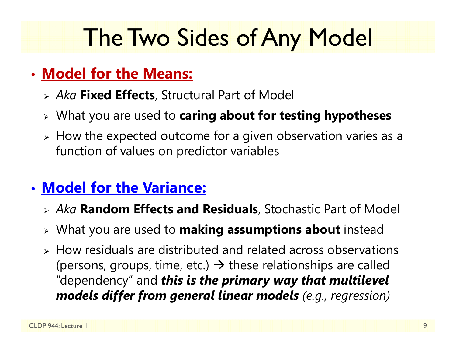### The Two Sides of Any Model

### • **Model for the Means:**

- *Aka* **Fixed Effects**, Structural Part of Model
- What you are used to **caring about for testing hypotheses**
- $\triangleright$  How the expected outcome for a given observation varies as a function of values on predictor variables

### • **Model for the Variance:**

- *Aka* **Random Effects and Residuals**, Stochastic Part of Model
- What you are used to **making assumptions about** instead
- $\triangleright$  How residuals are distributed and related across observations (persons, groups, time, etc.)  $\rightarrow$  these relationships are called "dependency" and *this is the primary way that multilevel models differ from general linear models (e.g., regression)*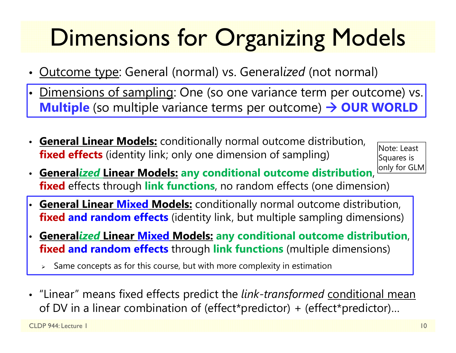# Dimensions for Organizing Models

- Outcome type: General (normal) vs. General*ized* (not normal)
- <u>Dimensions of sampling</u>: One (so one variance term per outcome) vs. <mark>In the Samples one set</mark> **Multiple** (so multiple variance terms per outcome) → OUR WORLD
- **General Linear Models:** conditionally normal outcome distribution, **fixed effects** (identity link; only one dimension of sampling)

Note: Least Squares is only for GLM

- **General***ized* **Linear Models: any conditional outcome distribution**, **fixed** effects through **link functions**, no random effects (one dimension)
- • **General Linear Mixed Models:** conditionally normal outcome distribution, **fixed and random effects** (identity link, but multiple sampling dimensions)
- • **General***ized* **Linear Mixed Models: any conditional outcome distribution**, **fixed and random effects** through **link functions** (multiple dimensions)
	- ⋗ Same concepts as for this course, but with more complexity in estimation
- "Linear" means fixed effects predict the *link-transformed* conditional mean of DV in a linear combination of (effect\*predictor) + (effect\*predictor)…

CLDP 944: Lecture 1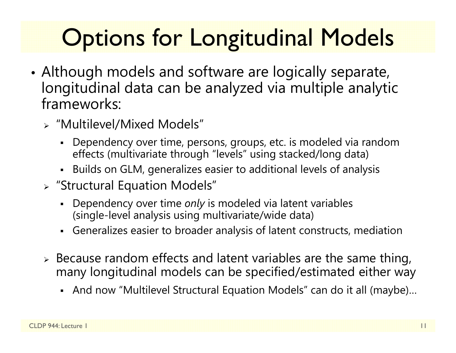# **Options for Longitudinal Models**

- • Although models and software are logically separate, longitudinal data can be analyzed via multiple analytic frameworks:
	- "Multilevel/Mixed Models"
		- Dependency over time, persons, groups, etc. is modeled via random effects (multivariate through "levels" using stacked/long data)
		- Builds on GLM, generalizes easier to additional levels of analysis
	- "Structural Equation Models"
		- Dependency over time *only* is modeled via latent variables (single-level analysis using multivariate/wide data)
		- Generalizes easier to broader analysis of latent constructs, mediation
	- $\triangleright$  Because random effects and latent variables are the same thing, many longitudinal models can be specified/estimated either way
		- And now "Multilevel Structural Equation Models" can do it all (maybe)…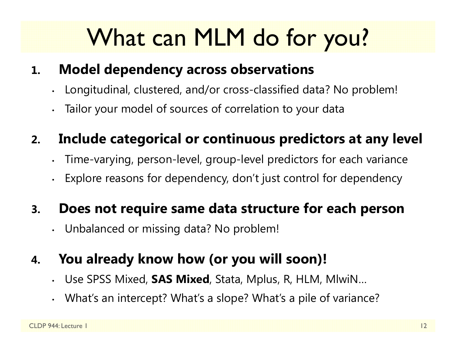# What can MLM do for you?

#### **1.Model dependency across observations**

- •Longitudinal, clustered, and/or cross-classified data? No problem!
- Tailor your model of sources of correlation to your data

#### **2.Include categorical or continuous predictors at any level**

- •Time-varying, person-level, group-level predictors for each variance
- •Explore reasons for dependency, don't just control for dependency

#### **3.Does not require same data structure for each person**

•Unbalanced or missing data? No problem!

#### **4.You already know how (or you will soon)!**

- •Use SPSS Mixed, **SAS Mixed**, Stata, Mplus, R, HLM, MlwiN…
- •What's an intercept? What's a slope? What's a pile of variance?

•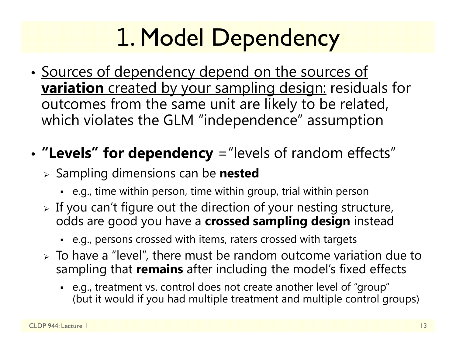# 1. Model Dependency

•• <u>Sources of dependency depend on the sources of</u> **variation** created by your sampling design: residuals for outcomes from the same unit are likely to be related, which violates the GLM "independence" assumption

#### •**"Levels" for dependency** ="levels of random effects"

- Sampling dimensions can be **nested**
	- e.g., time within person, time within group, trial within person
- $\triangleright$  If you can't figure out the direction of your nesting structure, odds are good you have a **crossed sampling design** instead
	- e.g., persons crossed with items, raters crossed with targets
- $\triangleright$  To have a "level", there must be random outcome variation due to sampling that **remains** after including the model's fixed effects
	- e.g., treatment vs. control does not create another level of "group" (but it would if you had multiple treatment and multiple control groups)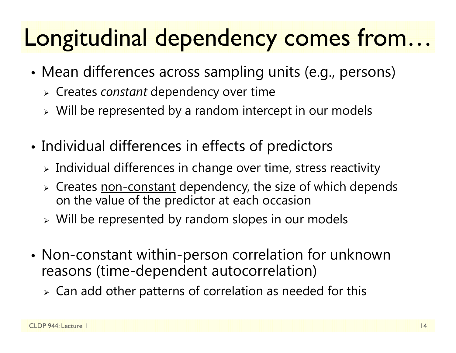### Longitudinal dependency comes from…

- • Mean differences across sampling units (e.g., persons)
	- Creates *constant* dependency over time
	- $\triangleright$  Will be represented by a random intercept in our models
- • Individual differences in effects of predictors
	- $\triangleright$  Individual differences in change over time, stress reactivity
	- > Creates <u>non-constant</u> dependency, the size of which depends on the value of the predictor at each occasion
	- Will be represented by random slopes in our models
- • Non-constant within-person correlation for unknown reasons (time-dependent autocorrelation)
	- $\triangleright$  Can add other patterns of correlation as needed for this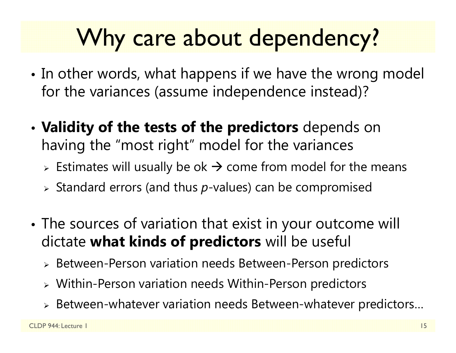## Why care about dependency?

- •• In other words, what happens if we have the wrong model for the variances (assume independence instead)?
- • **Validity of the tests of the predictors** depends on having the "most right" model for the variances
	- $\triangleright$  Estimates will usually be ok  $\rightarrow$  come from model for the means
	- Standard errors (and thus *p*-values) can be compromised
- • The sources of variation that exist in your outcome will dictate **what kinds of predictors** will be useful
	- Between-Person variation needs Between-Person predictors
	- Within-Person variation needs Within-Person predictors
	- $\triangleright$  Between-whatever variation needs Between-whatever predictors…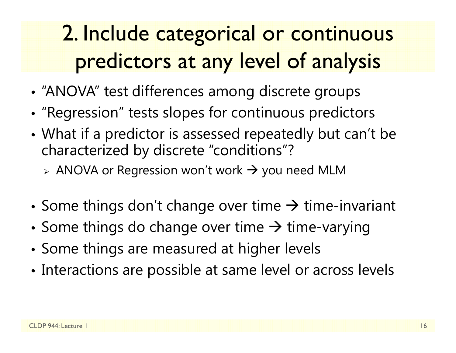### 2. Include categorical or continuous predictors at any level of analysis

- •"ANOVA" test differences among discrete groups
- •• "Regression" tests slopes for continuous predictors
- • What if a predictor is assessed repeatedly but can't be characterized by discrete "conditions"?
	- $\triangleright$  ANOVA or Regression won't work  $\rightarrow$  you need MLM
- •• Some things don't change over time  $\rightarrow$  time-invariant
- •• Some things do change over time  $\rightarrow$  time-varying
- •Some things are measured at higher levels
- •Interactions are possible at same level or across levels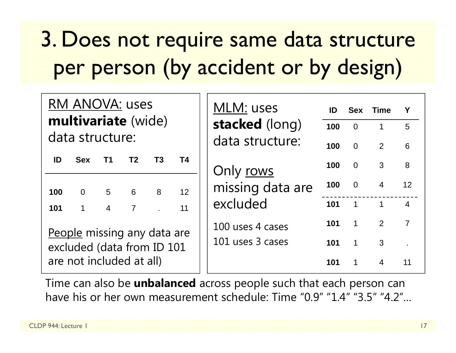### 3. Does not require same data structure per person (by accident or by design)

| <b>RM ANOVA: uses</b><br>multivariate (wide)              |                |                |                |    |           | MLM: uses<br>stacked (long)          | ID<br>100 | <b>Sex</b><br>$\overline{0}$ | <b>Time</b><br>$\mathbf{1}$ | 5 <sup>5</sup>  |
|-----------------------------------------------------------|----------------|----------------|----------------|----|-----------|--------------------------------------|-----------|------------------------------|-----------------------------|-----------------|
| data structure:                                           |                |                |                |    |           | data structure:                      |           |                              |                             |                 |
| ID                                                        | <b>Sex</b>     | T1             | T <sub>2</sub> | T3 | <b>T4</b> |                                      | 100       | $\overline{0}$               | 2                           | 6               |
|                                                           |                |                |                |    |           | Only rows                            | 100       | $\overline{0}$               | 3                           | 8               |
| 100                                                       | $\overline{0}$ | $5\qquad 6$    |                | 8  | 12        | missing data are                     | 100       | $0\qquad 4$                  |                             | 12 <sup>2</sup> |
| 101                                                       |                | $\overline{4}$ | $\overline{7}$ |    | 11        | excluded                             | 101       | $\overline{1}$               | $\overline{\phantom{a}}$    | $\overline{4}$  |
| People missing any data are<br>excluded (data from ID 101 |                |                |                |    |           | 100 uses 4 cases<br>101 uses 3 cases | 101       | $\overline{1}$               | $\overline{2}$              | $\overline{7}$  |
|                                                           |                |                |                |    |           |                                      | 101       | $\mathbf 1$                  | 3                           |                 |
| are not included at all)                                  |                |                |                |    |           |                                      | 101       | $\mathbf 1$                  | $\overline{4}$              | 11              |

Time can also be **unbalanced** across people such that each person can have his or her own measurement schedule: Time "0.9" "1.4" "3.5" "4.2"…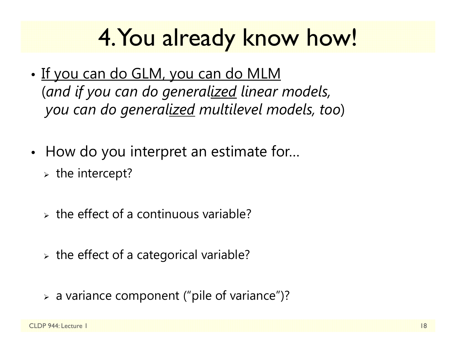### 4. You already know how!

- •• <u>If you can do GLM, you can do MLM</u> (*and if you can do generalized linear models, you can do generalized multilevel models, too* )
- •• How do you interpret an estimate for...
	- $\triangleright$  the intercept?
	- $\triangleright$  the effect of a continuous variable?
	- $\triangleright$  the effect of a categorical variable?
	- a variance component ("pile of variance")?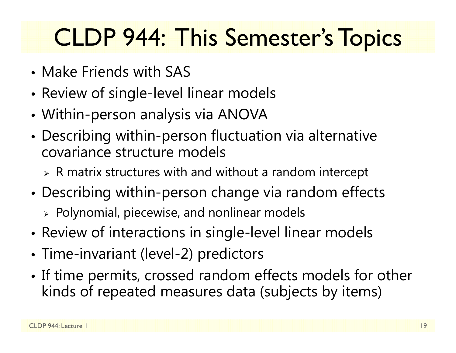## CLDP 944: This Semester's Topics

- Make Friends with SAS
- •Review of single-level linear models
- •Within-person analysis via ANOVA
- • Describing within-person fluctuation via alternative covariance structure models
	- $\triangleright$  R matrix structures with and without a random intercept
- • Describing within-person change via random effects
	- $\triangleright$  Polynomial, piecewise, and nonlinear models
- •Review of interactions in single-level linear models
- •Time-invariant (level-2) predictors
- •• If time permits, crossed random effects models for other kinds of repeated measures data (subjects by items)